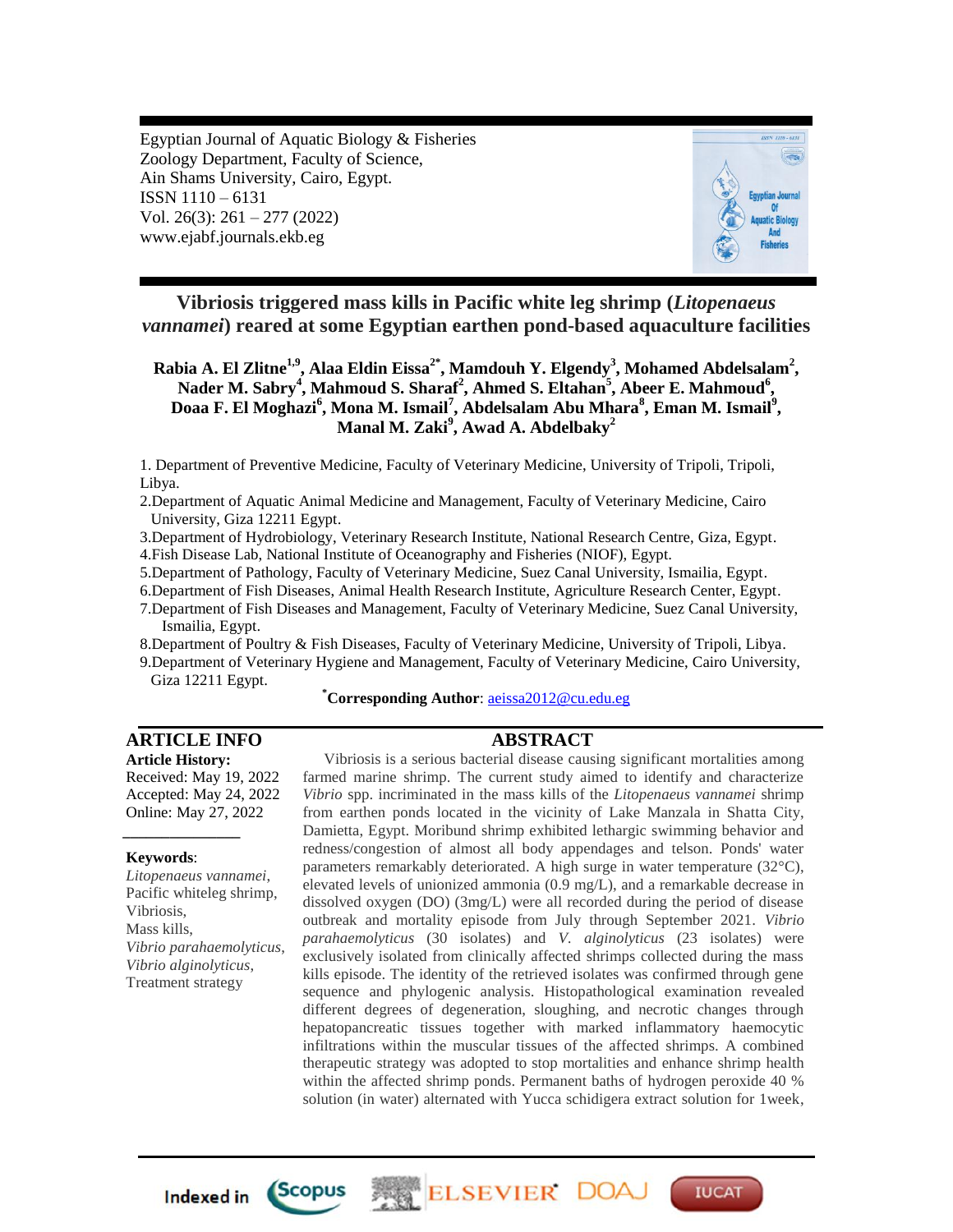Egyptian Journal of Aquatic Biology & Fisheries Zoology Department, Faculty of Science, Ain Shams University, Cairo, Egypt. ISSN 1110 – 6131 Vol. 26(3): 261 – 277 (2022) www.ejabf.journals.ekb.eg



**Vibriosis triggered mass kills in Pacific white leg shrimp (***Litopenaeus vannamei***) reared at some Egyptian earthen pond-based aquaculture facilities**

**Rabia A. El Zlitne1,9, Alaa Eldin Eissa2\*, Mamdouh Y. Elgendy<sup>3</sup> , Mohamed Abdelsalam<sup>2</sup> ,**  Nader M. Sabry<sup>4</sup>, Mahmoud S. Sharaf<sup>2</sup>, Ahmed S. Eltahan<sup>5</sup>, Abeer E. Mahmoud<sup>6</sup>, **Doaa F. El Moghazi<sup>6</sup> , Mona M. Ismail<sup>7</sup> , Abdelsalam Abu Mhara<sup>8</sup> , Eman M. Ismail<sup>9</sup> , Manal M. Zaki<sup>9</sup> , Awad A. Abdelbaky<sup>2</sup>**

1. Department of Preventive Medicine, Faculty of Veterinary Medicine, University of Tripoli, Tripoli, Libya.

2.Department of Aquatic Animal Medicine and Management, Faculty of Veterinary Medicine, Cairo University, Giza 12211 Egypt.

3.Department of Hydrobiology, Veterinary Research Institute, National Research Centre, Giza, Egypt.

4.Fish Disease Lab, National Institute of Oceanography and Fisheries (NIOF), Egypt.

5.Department of Pathology, Faculty of Veterinary Medicine, Suez Canal University, Ismailia, Egypt.

- 6.Department of Fish Diseases, Animal Health Research Institute, Agriculture Research Center, Egypt.
- 7.Department of Fish Diseases and Management, Faculty of Veterinary Medicine, Suez Canal University, Ismailia, Egypt.

8.Department of Poultry & Fish Diseases, Faculty of Veterinary Medicine, University of Tripoli, Libya.

9.Department of Veterinary Hygiene and Management, Faculty of Veterinary Medicine, Cairo University, Giza 12211 Egypt.

**\*Corresponding Author**[: aeissa2012@cu.edu.eg](mailto:aeissa2012@cu.edu.eg)

# **ARTICLE INFO ABSTRACT**

**Article History:** Received: May 19, 2022 Accepted: May 24, 2022 Online: May 27, 2022

#### **Keywords**:

*\_\_\_\_\_\_\_\_\_\_\_\_\_\_\_*

*Litopenaeus vannamei*, Pacific whiteleg shrimp, Vibriosis, Mass kills, *Vibrio parahaemolyticus*, *Vibrio alginolyticus*, Treatment strategy

Vibriosis is a serious bacterial disease causing significant mortalities among farmed marine shrimp. The current study aimed to identify and characterize *Vibrio* spp. incriminated in the mass kills of the *Litopenaeus vannamei* shrimp from earthen ponds located in the vicinity of Lake Manzala in Shatta City, Damietta, Egypt. Moribund shrimp exhibited lethargic swimming behavior and redness/congestion of almost all body appendages and telson. Ponds' water parameters remarkably deteriorated. A high surge in water temperature (32°C), elevated levels of unionized ammonia (0.9 mg/L), and a remarkable decrease in dissolved oxygen (DO) (3mg/L) were all recorded during the period of disease outbreak and mortality episode from July through September 2021. *Vibrio parahaemolyticus* (30 isolates) and *V. alginolyticus* (23 isolates) were exclusively isolated from clinically affected shrimps collected during the mass kills episode. The identity of the retrieved isolates was confirmed through gene sequence and phylogenic analysis. Histopathological examination revealed different degrees of degeneration, sloughing, and necrotic changes through hepatopancreatic tissues together with marked inflammatory haemocytic infiltrations within the muscular tissues of the affected shrimps. A combined therapeutic strategy was adopted to stop mortalities and enhance shrimp health within the affected shrimp ponds. Permanent baths of hydrogen peroxide 40 % solution (in water) alternated with Yucca schidigera extract solution for 1week,

ELSEVIER DO

**IUCAT** 

**Indexed in** 

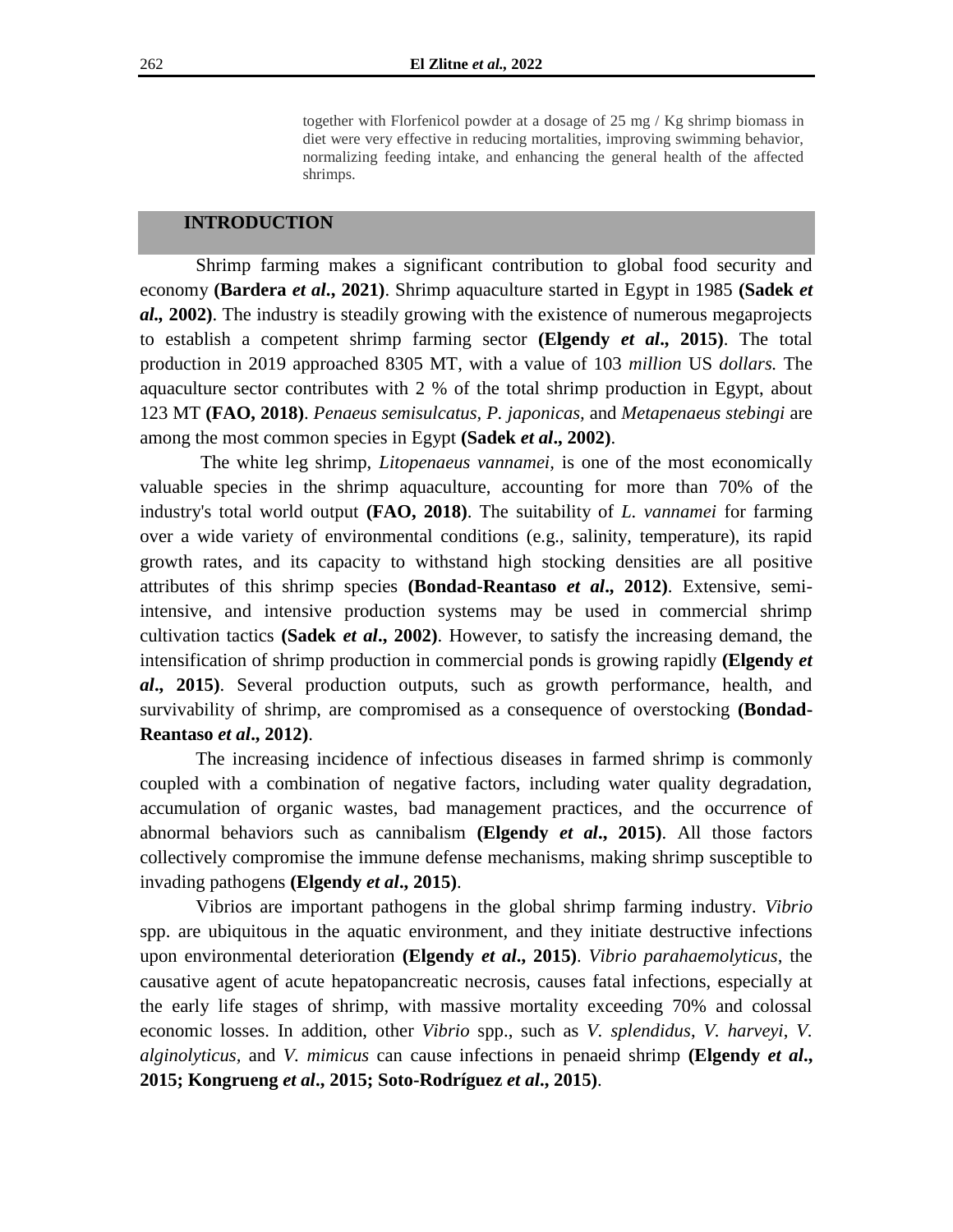together with Florfenicol powder at a dosage of 25 mg / Kg shrimp biomass in diet were very effective in reducing mortalities, improving swimming behavior, normalizing feeding intake, and enhancing the general health of the affected shrimps.

### **INTRODUCTION**

Shrimp farming makes a significant contribution to global food security and economy **(Bardera** *et al***., 2021)**. Shrimp aquaculture started in Egypt in 1985 **(Sadek** *et al.,* **2002)**. The industry is steadily growing with the existence of numerous megaprojects to establish a competent shrimp farming sector **(Elgendy** *et al***., 2015)**. The total production in 2019 approached 8305 MT, with a value of 103 *million* US *dollars.* The aquaculture sector contributes with 2 % of the total shrimp production in Egypt, about 123 MT **(FAO, 2018)**. *Penaeus semisulcatus, P. japonicas,* and *Metapenaeus stebingi* are among the most common species in Egypt **(Sadek** *et al***., 2002)**.

The white leg shrimp, *Litopenaeus vannamei,* is one of the most economically valuable species in the shrimp aquaculture, accounting for more than 70% of the industry's total world output **(FAO, 2018)**. The suitability of *L. vannamei* for farming over a wide variety of environmental conditions (e.g., salinity, temperature), its rapid growth rates, and its capacity to withstand high stocking densities are all positive attributes of this shrimp species **(Bondad-Reantaso** *et al***., 2012)**. Extensive, semiintensive, and intensive production systems may be used in commercial shrimp cultivation tactics **(Sadek** *et al***., 2002)**. However, to satisfy the increasing demand, the intensification of shrimp production in commercial ponds is growing rapidly **(Elgendy** *et al***., 2015)**. Several production outputs, such as growth performance, health, and survivability of shrimp, are compromised as a consequence of overstocking **(Bondad-Reantaso** *et al***., 2012)**.

The increasing incidence of infectious diseases in farmed shrimp is commonly coupled with a combination of negative factors, including water quality degradation, accumulation of organic wastes, bad management practices, and the occurrence of abnormal behaviors such as cannibalism **(Elgendy** *et al***., 2015)**. All those factors collectively compromise the immune defense mechanisms, making shrimp susceptible to invading pathogens **(Elgendy** *et al***., 2015)**.

Vibrios are important pathogens in the global shrimp farming industry. *Vibrio* spp. are ubiquitous in the aquatic environment, and they initiate destructive infections upon environmental deterioration **(Elgendy** *et al***., 2015)**. *Vibrio parahaemolyticus*, the causative agent of acute hepatopancreatic necrosis, causes fatal infections, especially at the early life stages of shrimp, with massive mortality exceeding 70% and colossal economic losses. In addition, other *Vibrio* spp., such as *V. splendidus*, *V. harveyi*, *V. alginolyticus,* and *V. mimicus* can cause infections in penaeid shrimp **(Elgendy** *et al***., 2015; Kongrueng** *et al***., 2015; Soto-Rodríguez** *et al***., 2015)**.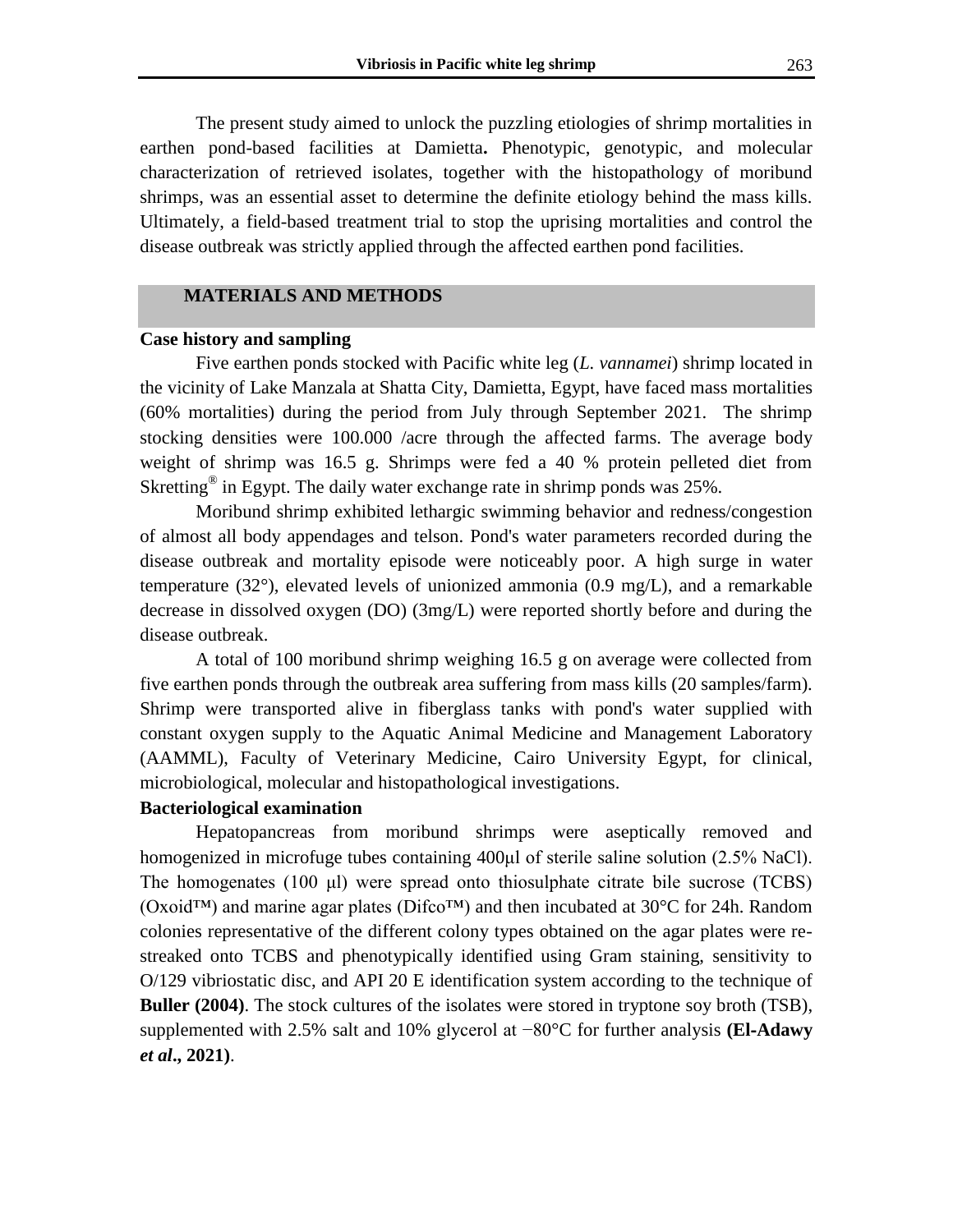The present study aimed to unlock the puzzling etiologies of shrimp mortalities in earthen pond-based facilities at Damietta**.** Phenotypic, genotypic, and molecular characterization of retrieved isolates, together with the histopathology of moribund shrimps, was an essential asset to determine the definite etiology behind the mass kills. Ultimately, a field-based treatment trial to stop the uprising mortalities and control the disease outbreak was strictly applied through the affected earthen pond facilities.

#### **MATERIALS AND METHODS**

#### **Case history and sampling**

Five earthen ponds stocked with Pacific white leg (*L. vannamei*) shrimp located in the vicinity of Lake Manzala at Shatta City, Damietta, Egypt, have faced mass mortalities (60% mortalities) during the period from July through September 2021. The shrimp stocking densities were 100.000 /acre through the affected farms. The average body weight of shrimp was 16.5 g. Shrimps were fed a 40 % protein pelleted diet from Skretting<sup>®</sup> in Egypt. The daily water exchange rate in shrimp ponds was 25%.

Moribund shrimp exhibited lethargic swimming behavior and redness/congestion of almost all body appendages and telson. Pond's water parameters recorded during the disease outbreak and mortality episode were noticeably poor. A high surge in water temperature  $(32^{\circ})$ , elevated levels of unionized ammonia  $(0.9 \text{ mg/L})$ , and a remarkable decrease in dissolved oxygen (DO) (3mg/L) were reported shortly before and during the disease outbreak.

A total of 100 moribund shrimp weighing 16.5 g on average were collected from five earthen ponds through the outbreak area suffering from mass kills (20 samples/farm). Shrimp were transported alive in fiberglass tanks with pond's water supplied with constant oxygen supply to the Aquatic Animal Medicine and Management Laboratory (AAMML), Faculty of Veterinary Medicine, Cairo University Egypt, for clinical, microbiological, molecular and histopathological investigations.

# **Bacteriological examination**

Hepatopancreas from moribund shrimps were aseptically removed and homogenized in microfuge tubes containing 400µl of sterile saline solution (2.5% NaCl). The homogenates (100 μl) were spread onto thiosulphate citrate bile sucrose (TCBS) (Oxoid™) and marine agar plates (Difco™) and then incubated at 30°C for 24h. Random colonies representative of the different colony types obtained on the agar plates were restreaked onto TCBS and phenotypically identified using Gram staining, sensitivity to O/129 vibriostatic disc, and API 20 E identification system according to the technique of **Buller (2004)**. The stock cultures of the isolates were stored in tryptone soy broth (TSB), supplemented with 2.5% salt and 10% glycerol at −80°C for further analysis **(El**‐**Adawy** *et al***., 2021)**.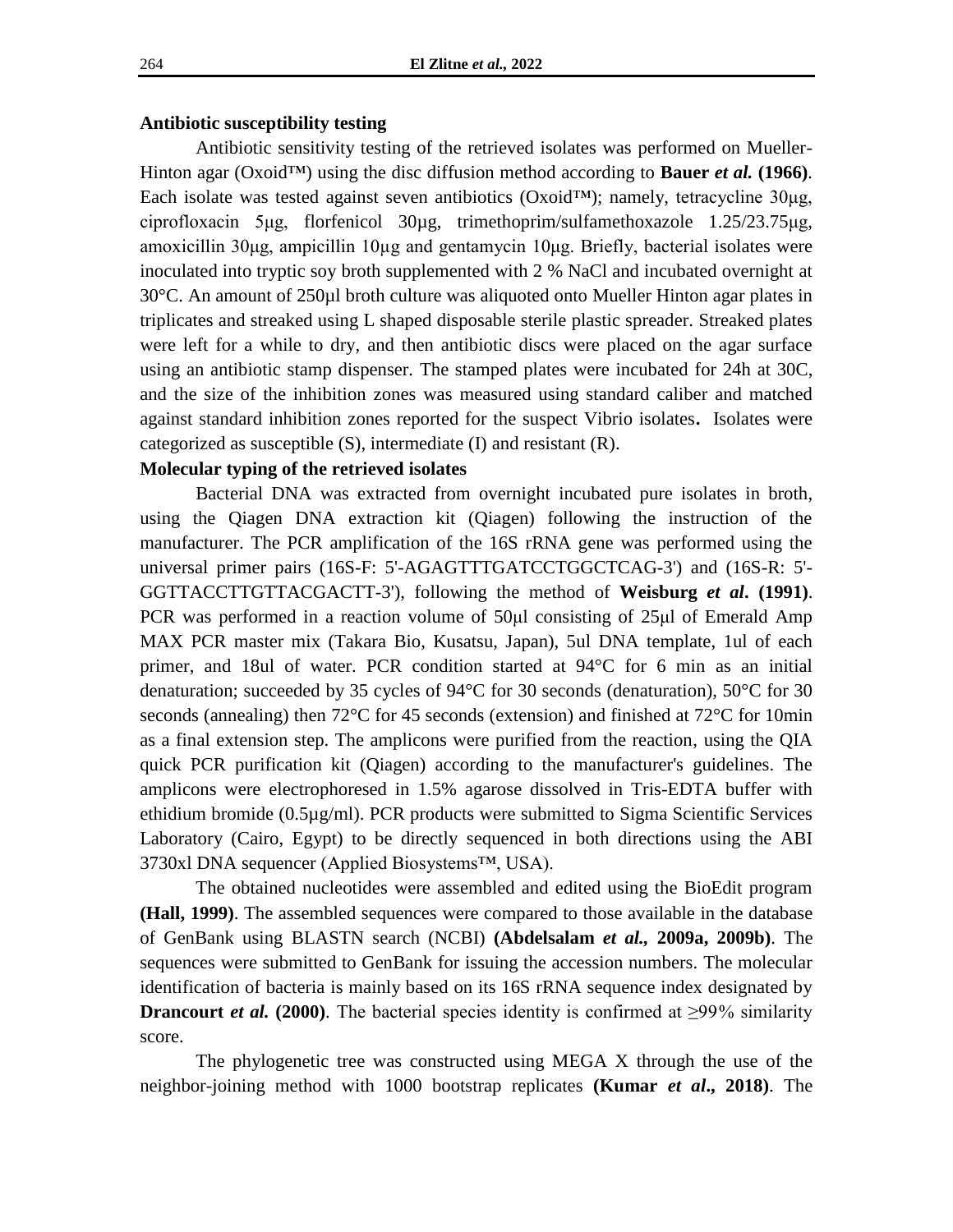#### **Antibiotic susceptibility testing**

Antibiotic sensitivity testing of the retrieved isolates was performed on Mueller-Hinton agar (Oxoid<sup>TM</sup>) using the disc diffusion method according to **Bauer** *et al.* (1966). Each isolate was tested against seven antibiotics (Oxoid™); namely, tetracycline 30μg, ciprofloxacin 5μg, florfenicol 30µg, trimethoprim/sulfamethoxazole 1.25/23.75μg, amoxicillin 30μg, ampicillin 10µg and gentamycin 10μg. Briefly, bacterial isolates were inoculated into tryptic soy broth supplemented with 2 % NaCl and incubated overnight at 30°C. An amount of 250µl broth culture was aliquoted onto Mueller Hinton agar plates in triplicates and streaked using L shaped disposable sterile plastic spreader. Streaked plates were left for a while to dry, and then antibiotic discs were placed on the agar surface using an antibiotic stamp dispenser. The stamped plates were incubated for 24h at 30C, and the size of the inhibition zones was measured using standard caliber and matched against standard inhibition zones reported for the suspect Vibrio isolates**.** Isolates were categorized as susceptible (S), intermediate (I) and resistant (R).

#### **Molecular typing of the retrieved isolates**

Bacterial DNA was extracted from overnight incubated pure isolates in broth, using the Qiagen DNA extraction kit (Qiagen) following the instruction of the manufacturer. The PCR amplification of the 16S rRNA gene was performed using the universal primer pairs (16S-F: 5'-AGAGTTTGATCCTGGCTCAG-3') and (16S-R: 5'- GGTTACCTTGTTACGACTT-3'), following the method of **Weisburg** *et al***. (1991)**. PCR was performed in a reaction volume of 50μl consisting of 25μl of Emerald Amp MAX PCR master mix (Takara Bio, Kusatsu, Japan), 5ul DNA template, 1ul of each primer, and 18ul of water. PCR condition started at 94°C for 6 min as an initial denaturation; succeeded by 35 cycles of 94°C for 30 seconds (denaturation), 50°C for 30 seconds (annealing) then 72°C for 45 seconds (extension) and finished at 72°C for 10min as a final extension step. The amplicons were purified from the reaction, using the QIA quick PCR purification kit (Qiagen) according to the manufacturer's guidelines. The amplicons were electrophoresed in 1.5% agarose dissolved in Tris-EDTA buffer with ethidium bromide (0.5µg/ml). PCR products were submitted to Sigma Scientific Services Laboratory (Cairo, Egypt) to be directly sequenced in both directions using the ABI 3730xl DNA sequencer (Applied Biosystems™, USA).

The obtained nucleotides were assembled and edited using the BioEdit program **(Hall, 1999)**. The assembled sequences were compared to those available in the database of GenBank using BLASTN search (NCBI) **(Abdelsalam** *et al.,* **2009a, 2009b)**. The sequences were submitted to GenBank for issuing the accession numbers. The molecular identification of bacteria is mainly based on its 16S rRNA sequence index designated by **Drancourt** *et al.* (2000). The bacterial species identity is confirmed at  $\geq$ 99<sup>%</sup> similarity score.

The phylogenetic tree was constructed using MEGA X through the use of the neighbor-joining method with 1000 bootstrap replicates **(Kumar** *et al***., 2018)**. The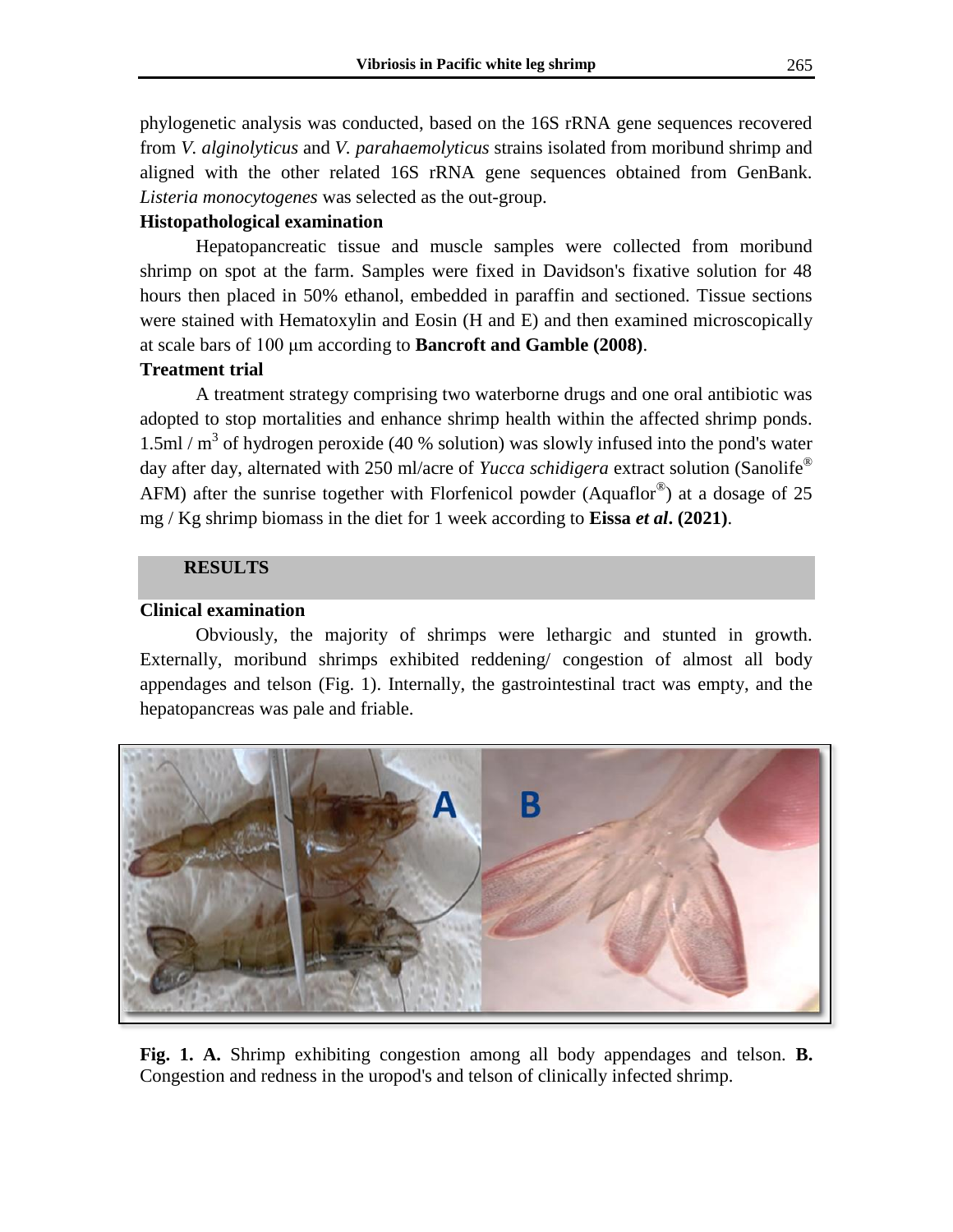phylogenetic analysis was conducted, based on the 16S rRNA gene sequences recovered from *V. alginolyticus* and *V. parahaemolyticus* strains isolated from moribund shrimp and aligned with the other related 16S rRNA gene sequences obtained from GenBank. *Listeria monocytogenes* was selected as the out-group.

# **Histopathological examination**

Hepatopancreatic tissue and muscle samples were collected from moribund shrimp on spot at the farm. Samples were fixed in Davidson's fixative solution for 48 hours then placed in 50% ethanol, embedded in paraffin and sectioned. Tissue sections were stained with Hematoxylin and Eosin (H and E) and then examined microscopically at scale bars of 100 μm according to **Bancroft and Gamble (2008)**.

# **Treatment trial**

A treatment strategy comprising two waterborne drugs and one oral antibiotic was adopted to stop mortalities and enhance shrimp health within the affected shrimp ponds.  $1.5$ ml / m<sup>3</sup> of hydrogen peroxide (40 % solution) was slowly infused into the pond's water day after day, alternated with 250 ml/acre of *Yucca schidigera* extract solution (Sanolife® AFM) after the sunrise together with Florfenicol powder (Aquaflor<sup>®</sup>) at a dosage of 25 mg / Kg shrimp biomass in the diet for 1 week according to **Eissa** *et al***. (2021)**.

# **RESULTS**

# **Clinical examination**

Obviously, the majority of shrimps were lethargic and stunted in growth. Externally, moribund shrimps exhibited reddening/ congestion of almost all body appendages and telson (Fig. 1). Internally, the gastrointestinal tract was empty, and the hepatopancreas was pale and friable.



**Fig. 1. A.** Shrimp exhibiting congestion among all body appendages and telson. **B.** Congestion and redness in the uropod's and telson of clinically infected shrimp.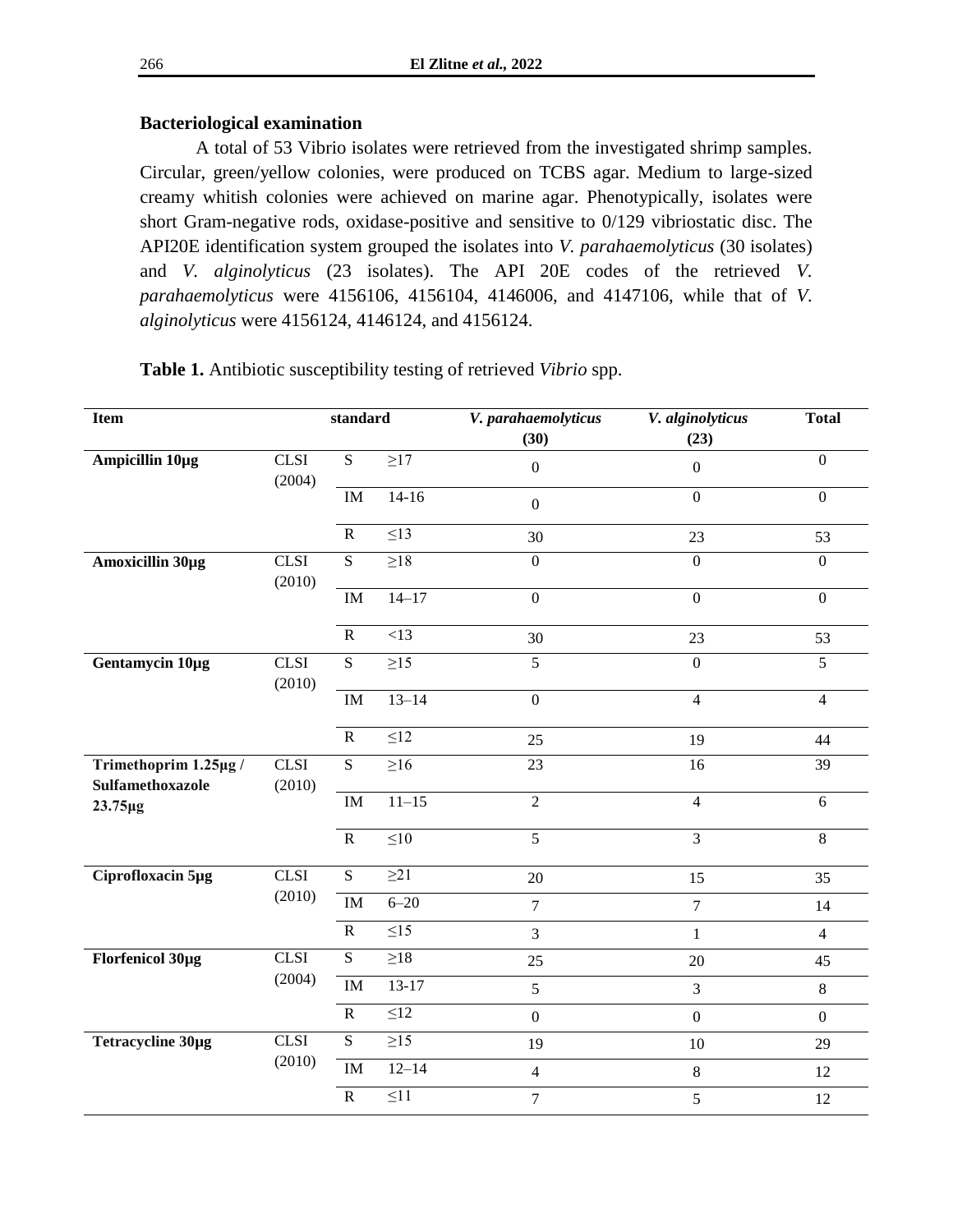# **Bacteriological examination**

A total of 53 Vibrio isolates were retrieved from the investigated shrimp samples. Circular, green/yellow colonies, were produced on TCBS agar. Medium to large-sized creamy whitish colonies were achieved on marine agar. Phenotypically, isolates were short Gram-negative rods, oxidase-positive and sensitive to 0/129 vibriostatic disc. The API20E identification system grouped the isolates into *V. parahaemolyticus* (30 isolates) and *V. alginolyticus* (23 isolates). The API 20E codes of the retrieved *V. parahaemolyticus* were 4156106, 4156104, 4146006, and 4147106, while that of *V. alginolyticus* were 4156124, 4146124, and 4156124.

| Item                                      | standard                           |                        |           | V. parahaemolyticus | V. alginolyticus | <b>Total</b>     |
|-------------------------------------------|------------------------------------|------------------------|-----------|---------------------|------------------|------------------|
|                                           |                                    |                        |           | (30)                | (23)             |                  |
| Ampicillin 10µg                           | $\overline{\text{CLSI}}$<br>(2004) | $\overline{S}$         | $\geq$ 17 | $\boldsymbol{0}$    | $\boldsymbol{0}$ | $\overline{0}$   |
|                                           |                                    | $\mathbf{IM}$          | $14-16$   | $\boldsymbol{0}$    | $\overline{0}$   | $\overline{0}$   |
|                                           |                                    | ${\bf R}$              | $\leq$ 13 | 30                  | 23               | 53               |
| Amoxicillin 30µg                          | <b>CLSI</b><br>(2010)              | S                      | $\geq$ 18 | $\boldsymbol{0}$    | $\overline{0}$   | $\mathbf{0}$     |
|                                           |                                    | $\rm IM$               | $14 - 17$ | $\boldsymbol{0}$    | $\boldsymbol{0}$ | $\boldsymbol{0}$ |
|                                           |                                    | ${\bf R}$              | <13       | 30                  | 23               | 53               |
| Gentamycin 10µg                           | <b>CLSI</b><br>(2010)              | $\overline{S}$         | $\geq$ 15 | 5                   | $\boldsymbol{0}$ | $\overline{5}$   |
|                                           |                                    | $\rm IM$               | $13 - 14$ | $\mathbf{0}$        | $\overline{4}$   | $\overline{4}$   |
|                                           |                                    | ${\bf R}$              | $\leq$ 12 | 25                  | 19               | 44               |
| Trimethoprim 1.25µg /<br>Sulfamethoxazole | <b>CLSI</b><br>(2010)              | $\overline{S}$         | $\geq 16$ | $\overline{23}$     | 16               | $\overline{39}$  |
| 23.75µg                                   |                                    | $\mathbf{IM}$          | $11 - 15$ | $\overline{2}$      | $\overline{4}$   | $\overline{6}$   |
|                                           |                                    | ${\bf R}$              | $\leq 10$ | $\overline{5}$      | $\overline{3}$   | $\overline{8}$   |
| Ciprofloxacin 5µg                         | <b>CLSI</b>                        | $\overline{S}$         | $\geq$ 21 | 20                  | 15               | 35               |
|                                           | (2010)                             | $\mathbf{IM}$          | $6 - 20$  | $\overline{7}$      | $\overline{7}$   | 14               |
|                                           |                                    | $\overline{R}$         | $\leq15$  | $\overline{3}$      | $\mathbf{1}$     | $\overline{4}$   |
| Florfenicol 30µg                          | <b>CLSI</b><br>(2004)              | $\overline{S}$         | $\geq$ 18 | 25                  | 20               | 45               |
|                                           |                                    | IM                     | $13-17$   | 5                   | $\overline{3}$   | 8                |
|                                           |                                    | ${\bf R}$              | $\leq 12$ | $\mathbf{0}$        | $\boldsymbol{0}$ | $\mathbf{0}$     |
| Tetracycline 30µg                         | <b>CLSI</b><br>(2010)              | S                      | $\geq$ 15 | 19                  | $10\,$           | 29               |
|                                           |                                    | $\overline{\text{IM}}$ | $12 - 14$ | $\overline{4}$      | $8\,$            | 12               |
|                                           |                                    | ${\bf R}$              | $\leq$ 11 | $\overline{7}$      | 5                | 12               |

**Table 1.** Antibiotic susceptibility testing of retrieved *Vibrio* spp.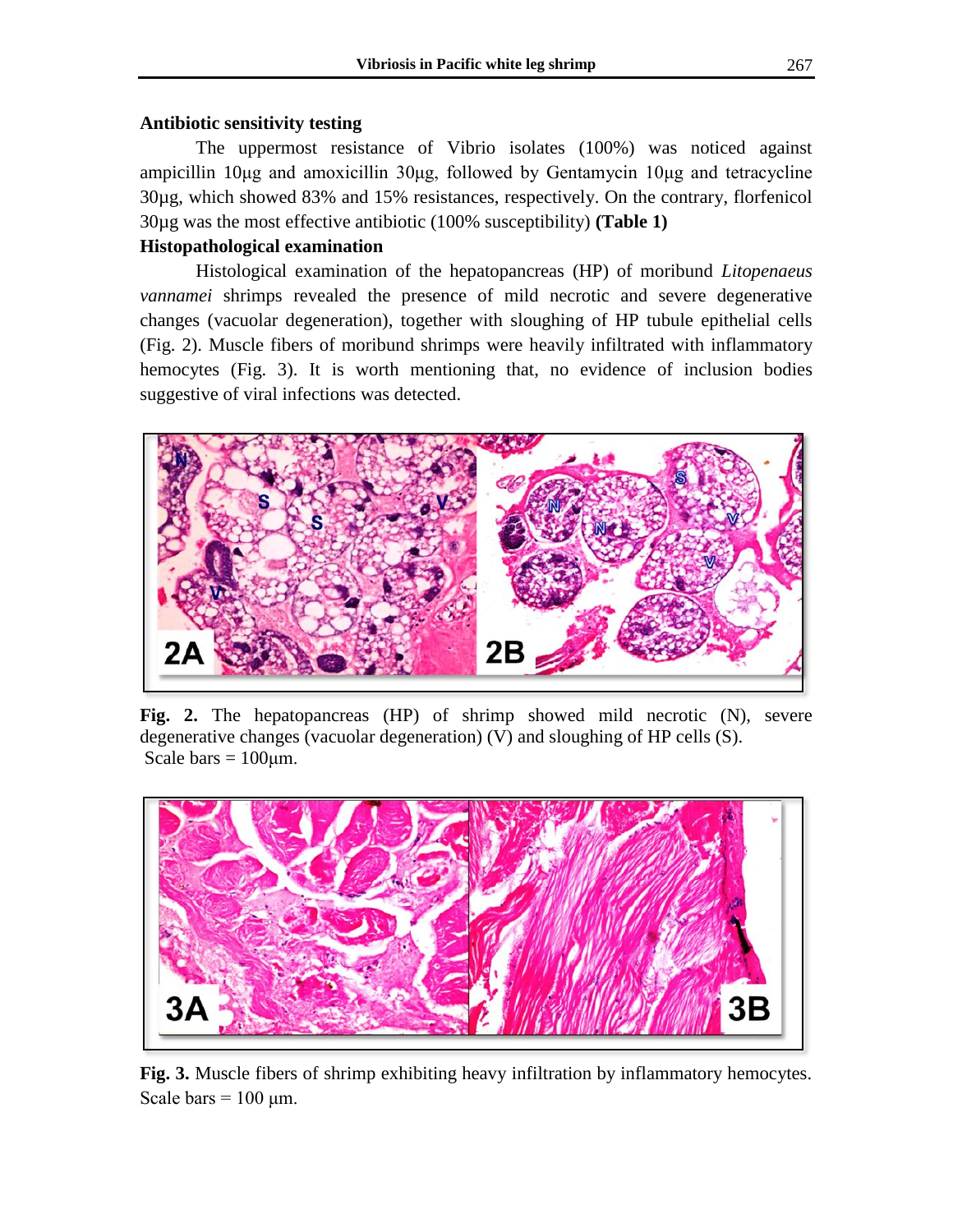# **Antibiotic sensitivity testing**

The uppermost resistance of Vibrio isolates (100%) was noticed against ampicillin 10μg and amoxicillin 30μg, followed by Gentamycin 10μg and tetracycline 30µg, which showed 83% and 15% resistances, respectively. On the contrary, florfenicol 30µg was the most effective antibiotic (100% susceptibility) **(Table 1)**

# **Histopathological examination**

Histological examination of the hepatopancreas (HP) of moribund *Litopenaeus vannamei* shrimps revealed the presence of mild necrotic and severe degenerative changes (vacuolar degeneration), together with sloughing of HP tubule epithelial cells (Fig. 2). Muscle fibers of moribund shrimps were heavily infiltrated with inflammatory hemocytes (Fig. 3). It is worth mentioning that, no evidence of inclusion bodies suggestive of viral infections was detected.



**Fig. 2.** The hepatopancreas (HP) of shrimp showed mild necrotic (N), severe degenerative changes (vacuolar degeneration) (V) and sloughing of HP cells (S). Scale bars  $= 100 \mu m$ .



**Fig. 3.** Muscle fibers of shrimp exhibiting heavy infiltration by inflammatory hemocytes. Scale bars  $= 100 \text{ µm}$ .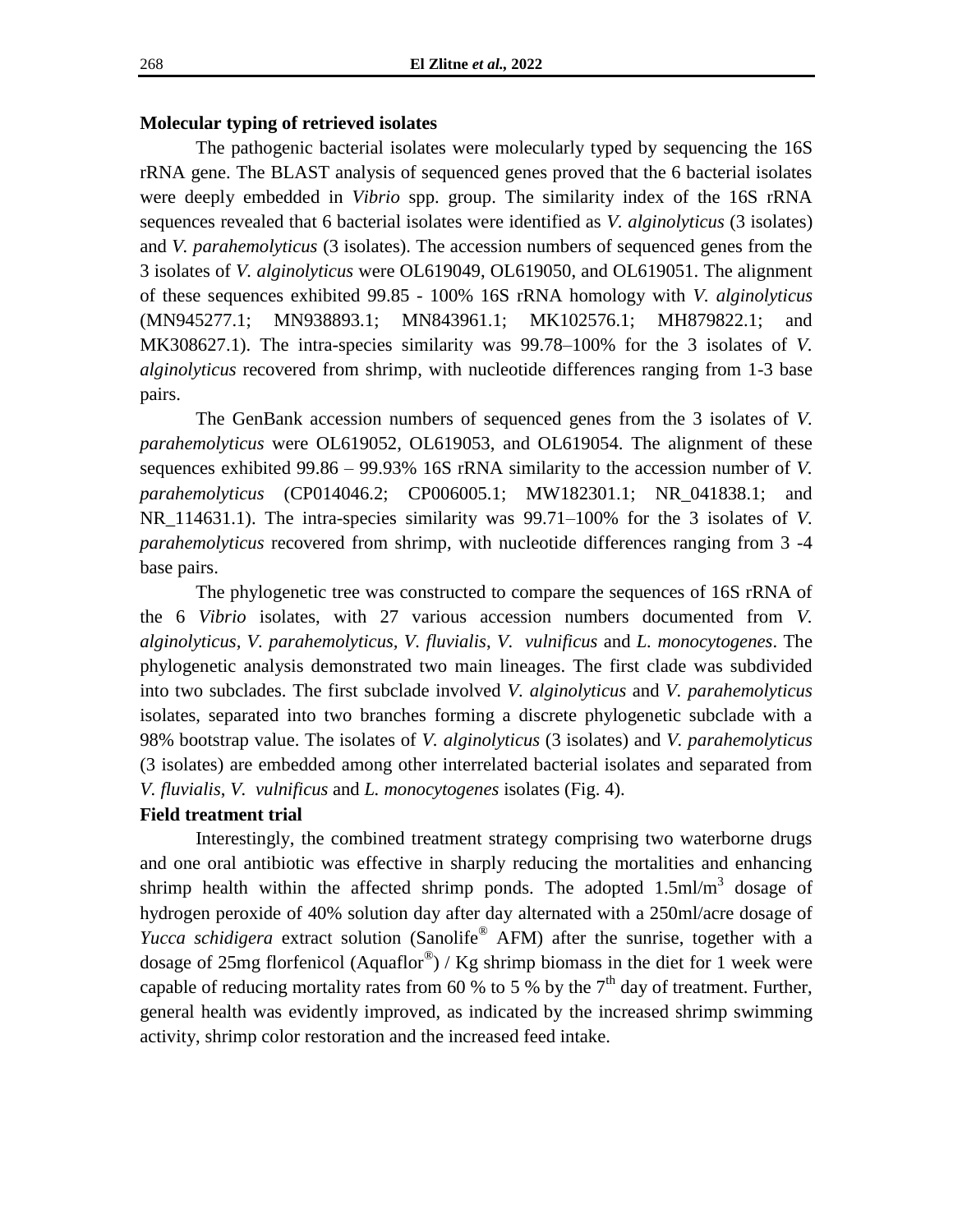# **Molecular typing of retrieved isolates**

The pathogenic bacterial isolates were molecularly typed by sequencing the 16S rRNA gene. The BLAST analysis of sequenced genes proved that the 6 bacterial isolates were deeply embedded in *Vibrio* spp. group. The similarity index of the 16S rRNA sequences revealed that 6 bacterial isolates were identified as *V. alginolyticus* (3 isolates) and *V. parahemolyticus* (3 isolates). The accession numbers of sequenced genes from the 3 isolates of *V. alginolyticus* were OL619049, OL619050, and OL619051. The alignment of these sequences exhibited 99.85 - 100% 16S rRNA homology with *V. alginolyticus* (MN945277.1; MN938893.1; MN843961.1; MK102576.1; MH879822.1; and MK308627.1). The intra-species similarity was 99.78–100% for the 3 isolates of *V. alginolyticus* recovered from shrimp, with nucleotide differences ranging from 1-3 base pairs.

The GenBank accession numbers of sequenced genes from the 3 isolates of *V. parahemolyticus* were OL619052, OL619053, and OL619054. The alignment of these sequences exhibited 99.86 – 99.93% 16S rRNA similarity to the accession number of *V. parahemolyticus* (CP014046.2; CP006005.1; MW182301.1; NR\_041838.1; and NR\_114631.1). The intra-species similarity was 99.71–100% for the 3 isolates of *V. parahemolyticus* recovered from shrimp, with nucleotide differences ranging from 3 -4 base pairs.

The phylogenetic tree was constructed to compare the sequences of 16S rRNA of the 6 *Vibrio* isolates, with 27 various accession numbers documented from *V. alginolyticus, V. parahemolyticus, V. fluvialis*, *V. vulnificus* and *L. monocytogenes*. The phylogenetic analysis demonstrated two main lineages. The first clade was subdivided into two subclades. The first subclade involved *V. alginolyticus* and *V. parahemolyticus* isolates, separated into two branches forming a discrete phylogenetic subclade with a 98% bootstrap value. The isolates of *V. alginolyticus* (3 isolates) and *V. parahemolyticus* (3 isolates) are embedded among other interrelated bacterial isolates and separated from *V. fluvialis*, *V. vulnificus* and *L. monocytogenes* isolates (Fig. 4).

#### **Field treatment trial**

Interestingly, the combined treatment strategy comprising two waterborne drugs and one oral antibiotic was effective in sharply reducing the mortalities and enhancing shrimp health within the affected shrimp ponds. The adopted  $1.5 \text{ml/m}^3$  dosage of hydrogen peroxide of 40% solution day after day alternated with a 250ml/acre dosage of *Yucca schidigera* extract solution (Sanolife<sup>®</sup> AFM) after the sunrise, together with a dosage of 25mg florfenicol (Aquaflor<sup>®</sup>) / Kg shrimp biomass in the diet for 1 week were capable of reducing mortality rates from 60 % to 5 % by the  $7<sup>th</sup>$  day of treatment. Further, general health was evidently improved, as indicated by the increased shrimp swimming activity, shrimp color restoration and the increased feed intake.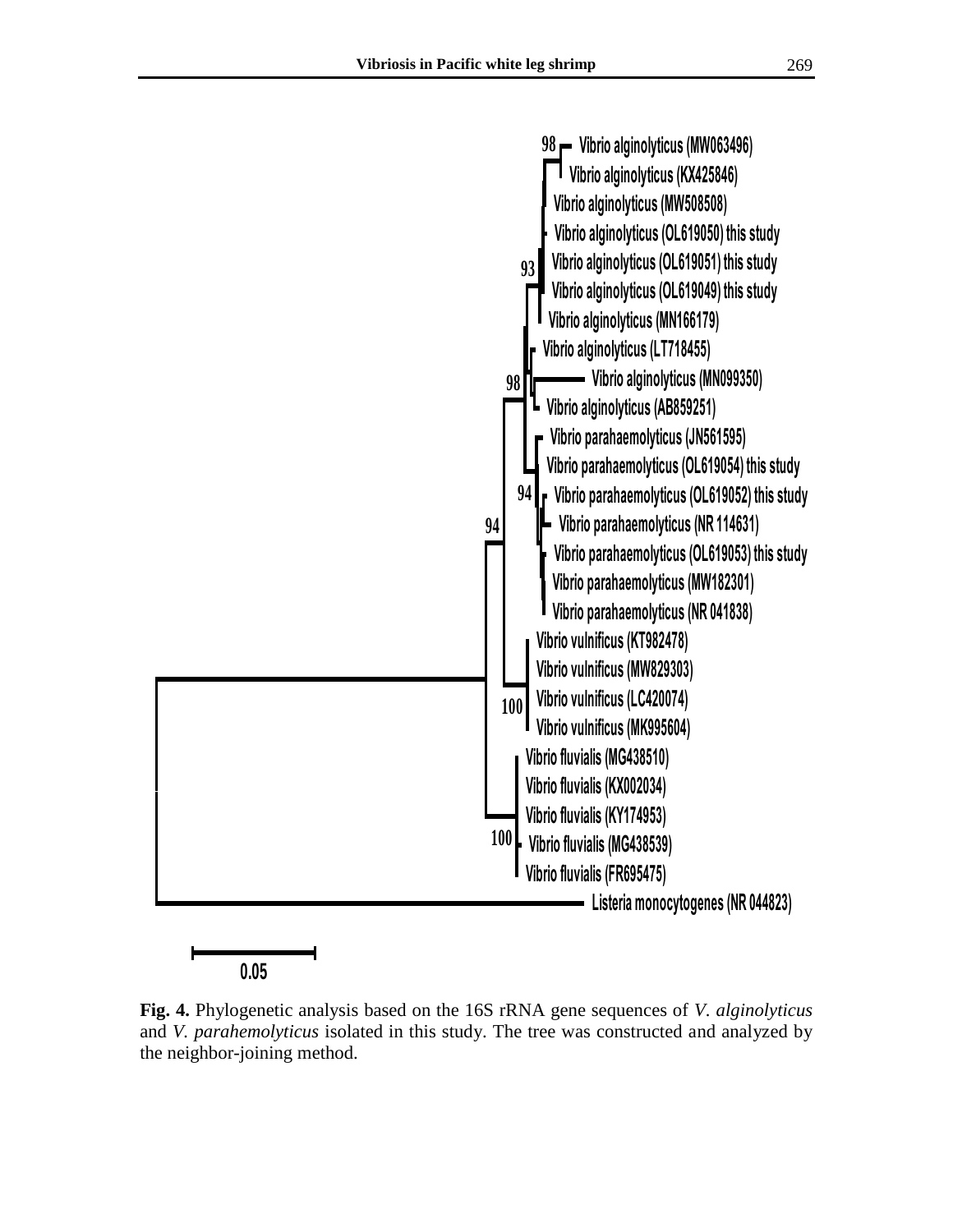

**Fig. 4.** Phylogenetic analysis based on the 16S rRNA gene sequences of *V. alginolyticus* and *V. parahemolyticus* isolated in this study. The tree was constructed and analyzed by the neighbor-joining method.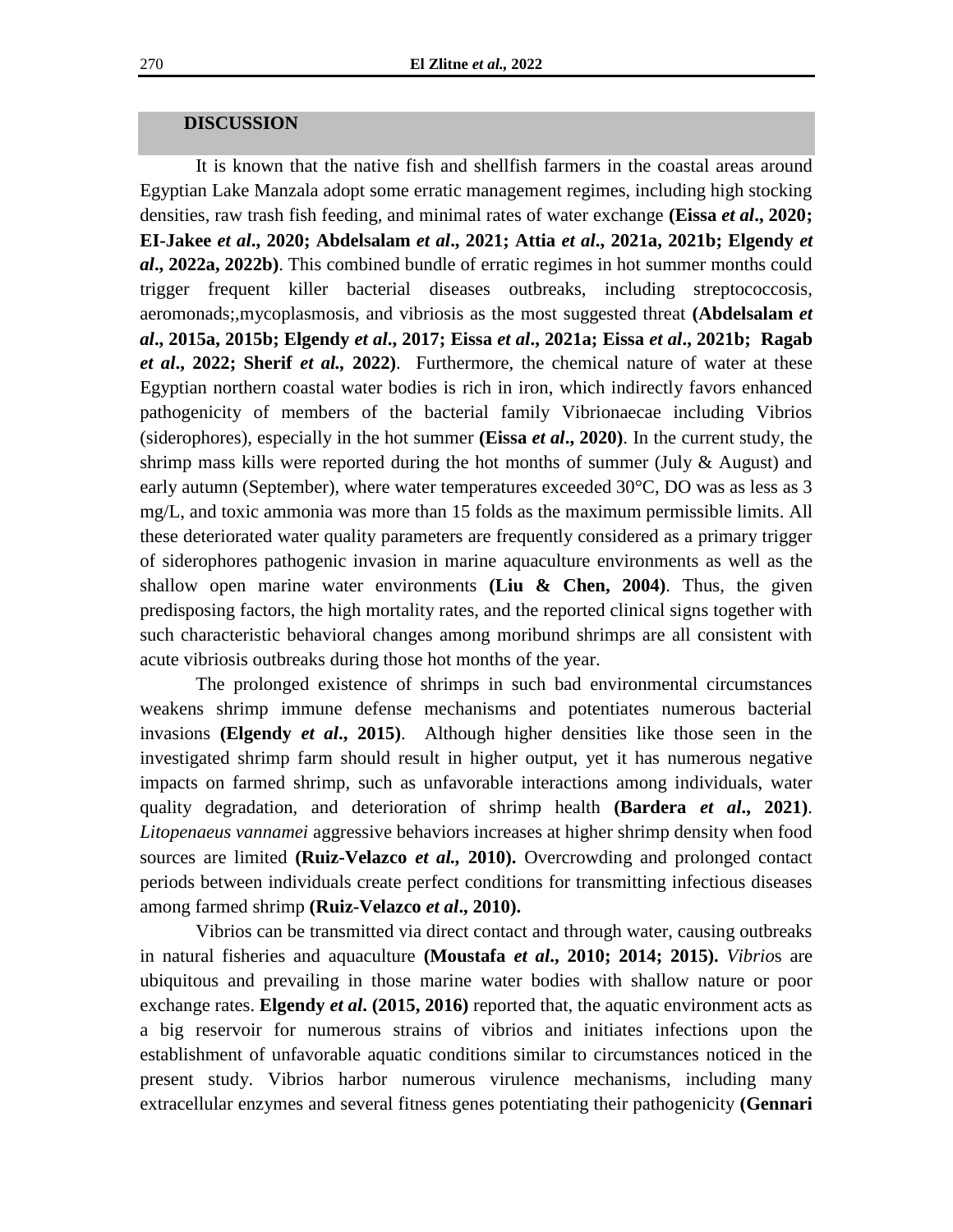# **DISCUSSION**

It is known that the native fish and shellfish farmers in the coastal areas around Egyptian Lake Manzala adopt some erratic management regimes, including high stocking densities, raw trash fish feeding, and minimal rates of water exchange **(Eissa** *et al***., 2020; EI-Jakee** *et al***., 2020; Abdelsalam** *et al***., 2021; Attia** *et al***., 2021a, 2021b; Elgendy** *et al***., 2022a, 2022b)**. This combined bundle of erratic regimes in hot summer months could trigger frequent killer bacterial diseases outbreaks, including streptococcosis, aeromonads;,mycoplasmosis, and vibriosis as the most suggested threat **(Abdelsalam** *et al***., 2015a, 2015b; Elgendy** *et al***., 2017; Eissa** *et al***., 2021a; Eissa** *et al***., 2021b; Ragab**  *et al***., 2022; Sherif** *et al.,* **2022)**. Furthermore, the chemical nature of water at these Egyptian northern coastal water bodies is rich in iron, which indirectly favors enhanced pathogenicity of members of the bacterial family Vibrionaecae including Vibrios (siderophores), especially in the hot summer **(Eissa** *et al***., 2020)**. In the current study, the shrimp mass kills were reported during the hot months of summer (July  $\&$  August) and early autumn (September), where water temperatures exceeded 30°C, DO was as less as 3 mg/L, and toxic ammonia was more than 15 folds as the maximum permissible limits. All these deteriorated water quality parameters are frequently considered as a primary trigger of siderophores pathogenic invasion in marine aquaculture environments as well as the shallow open marine water environments **(Liu & Chen, 2004)**. Thus, the given predisposing factors, the high mortality rates, and the reported clinical signs together with such characteristic behavioral changes among moribund shrimps are all consistent with acute vibriosis outbreaks during those hot months of the year.

The prolonged existence of shrimps in such bad environmental circumstances weakens shrimp immune defense mechanisms and potentiates numerous bacterial invasions **(Elgendy** *et al***., 2015)**. Although higher densities like those seen in the investigated shrimp farm should result in higher output, yet it has numerous negative impacts on farmed shrimp, such as unfavorable interactions among individuals, water quality degradation, and deterioration of shrimp health **(Bardera** *et al***., 2021)**. *Litopenaeus vannamei* aggressive behaviors increases at higher shrimp density when food sources are limited **(Ruiz-Velazco** *et al.,* **2010).** Overcrowding and prolonged contact periods between individuals create perfect conditions for transmitting infectious diseases among farmed shrimp **(Ruiz-Velazco** *et al***., 2010).** 

Vibrios can be transmitted via direct contact and through water, causing outbreaks in natural fisheries and aquaculture **(Moustafa** *et al***., 2010; 2014; 2015).** *Vibrio*s are ubiquitous and prevailing in those marine water bodies with shallow nature or poor exchange rates. **Elgendy** *et al***. (2015, 2016)** reported that, the aquatic environment acts as a big reservoir for numerous strains of vibrios and initiates infections upon the establishment of unfavorable aquatic conditions similar to circumstances noticed in the present study. Vibrios harbor numerous virulence mechanisms, including many extracellular enzymes and several fitness genes potentiating their pathogenicity **(Gennari**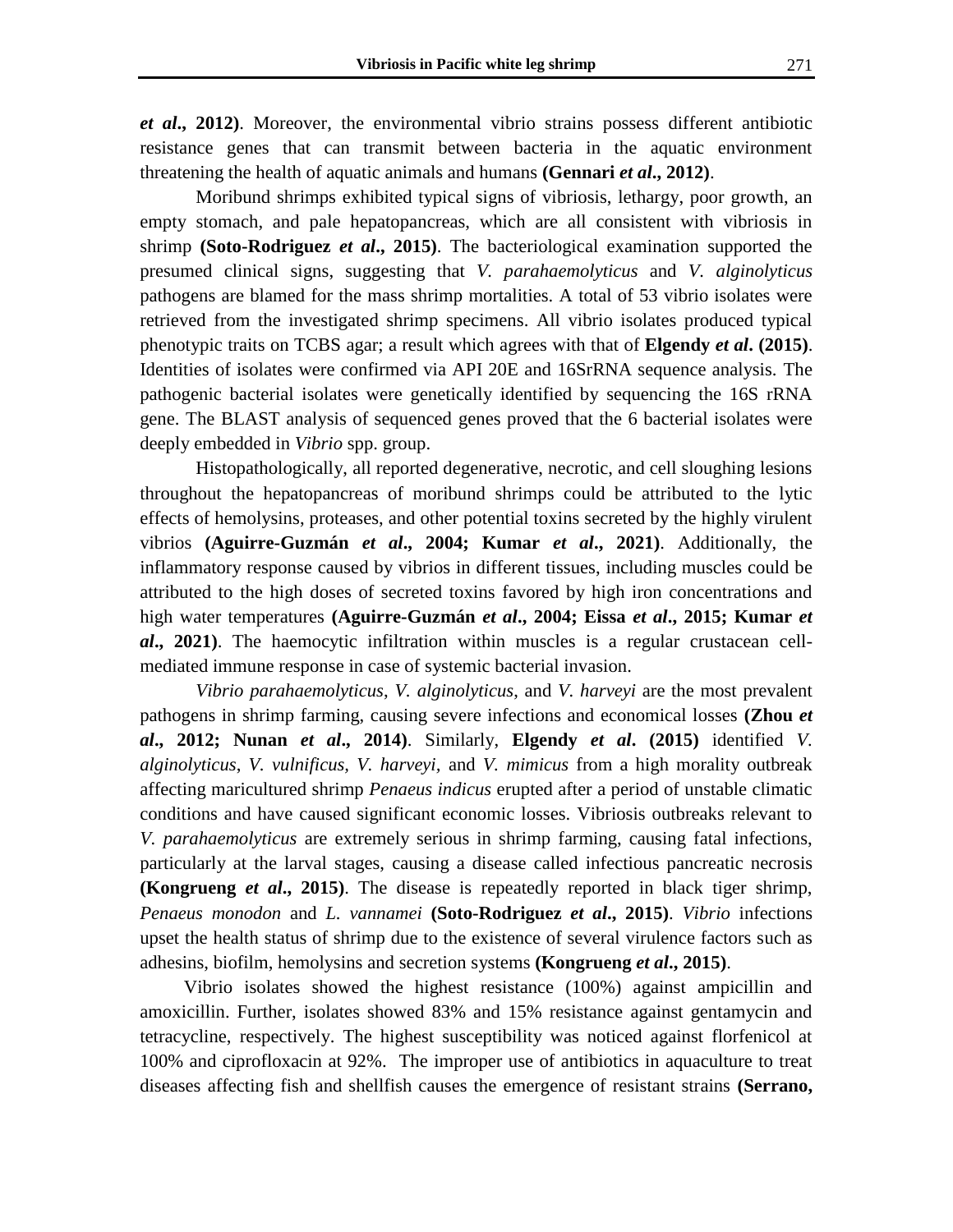*et al***., 2012)**. Moreover, the environmental vibrio strains possess different antibiotic resistance genes that can transmit between bacteria in the aquatic environment threatening the health of aquatic animals and humans **(Gennari** *et al***., 2012)**.

Moribund shrimps exhibited typical signs of vibriosis, lethargy, poor growth, an empty stomach, and pale hepatopancreas, which are all consistent with vibriosis in shrimp **(Soto-Rodriguez** *et al***., 2015)**. The bacteriological examination supported the presumed clinical signs, suggesting that *V. parahaemolyticus* and *V. alginolyticus* pathogens are blamed for the mass shrimp mortalities. A total of 53 vibrio isolates were retrieved from the investigated shrimp specimens. All vibrio isolates produced typical phenotypic traits on TCBS agar; a result which agrees with that of **Elgendy** *et al***. (2015)**. Identities of isolates were confirmed via API 20E and 16SrRNA sequence analysis. The pathogenic bacterial isolates were genetically identified by sequencing the 16S rRNA gene. The BLAST analysis of sequenced genes proved that the 6 bacterial isolates were deeply embedded in *Vibrio* spp. group.

Histopathologically, all reported degenerative, necrotic, and cell sloughing lesions throughout the hepatopancreas of moribund shrimps could be attributed to the lytic effects of hemolysins, proteases, and other potential toxins secreted by the highly virulent vibrios **(Aguirre-Guzmán** *et al***., 2004; Kumar** *et al***., 2021)**. Additionally, the inflammatory response caused by vibrios in different tissues, including muscles could be attributed to the high doses of secreted toxins favored by high iron concentrations and high water temperatures **(Aguirre-Guzmán** *et al***., 2004; Eissa** *et al***., 2015; Kumar** *et al***., 2021)**. The haemocytic infiltration within muscles is a regular crustacean cellmediated immune response in case of systemic bacterial invasion.

*Vibrio parahaemolyticus*, *V. alginolyticus*, and *V. harveyi* are the most prevalent pathogens in shrimp farming, causing severe infections and economical losses **(Zhou** *et al***., 2012; Nunan** *et al***., 2014)**. Similarly, **Elgendy** *et al***. (2015)** identified *V. alginolyticus*, *V. vulnificus, V. harveyi,* and *V. mimicus* from a high morality outbreak affecting maricultured shrimp *Penaeus indicus* erupted after a period of unstable climatic conditions and have caused significant economic losses. Vibriosis outbreaks relevant to *V. parahaemolyticus* are extremely serious in shrimp farming, causing fatal infections, particularly at the larval stages, causing a disease called infectious pancreatic necrosis **(Kongrueng** *et al***., 2015)**. The disease is repeatedly reported in black tiger shrimp, *Penaeus monodon* and *L. vannamei* **(Soto-Rodriguez** *et al***., 2015)**. *Vibrio* infections upset the health status of shrimp due to the existence of several virulence factors such as adhesins, biofilm, hemolysins and secretion systems **(Kongrueng** *et al***., 2015)**.

Vibrio isolates showed the highest resistance (100%) against ampicillin and amoxicillin. Further, isolates showed 83% and 15% resistance against gentamycin and tetracycline, respectively. The highest susceptibility was noticed against florfenicol at 100% and ciprofloxacin at 92%. The improper use of antibiotics in aquaculture to treat diseases affecting fish and shellfish causes the emergence of resistant strains **(Serrano,**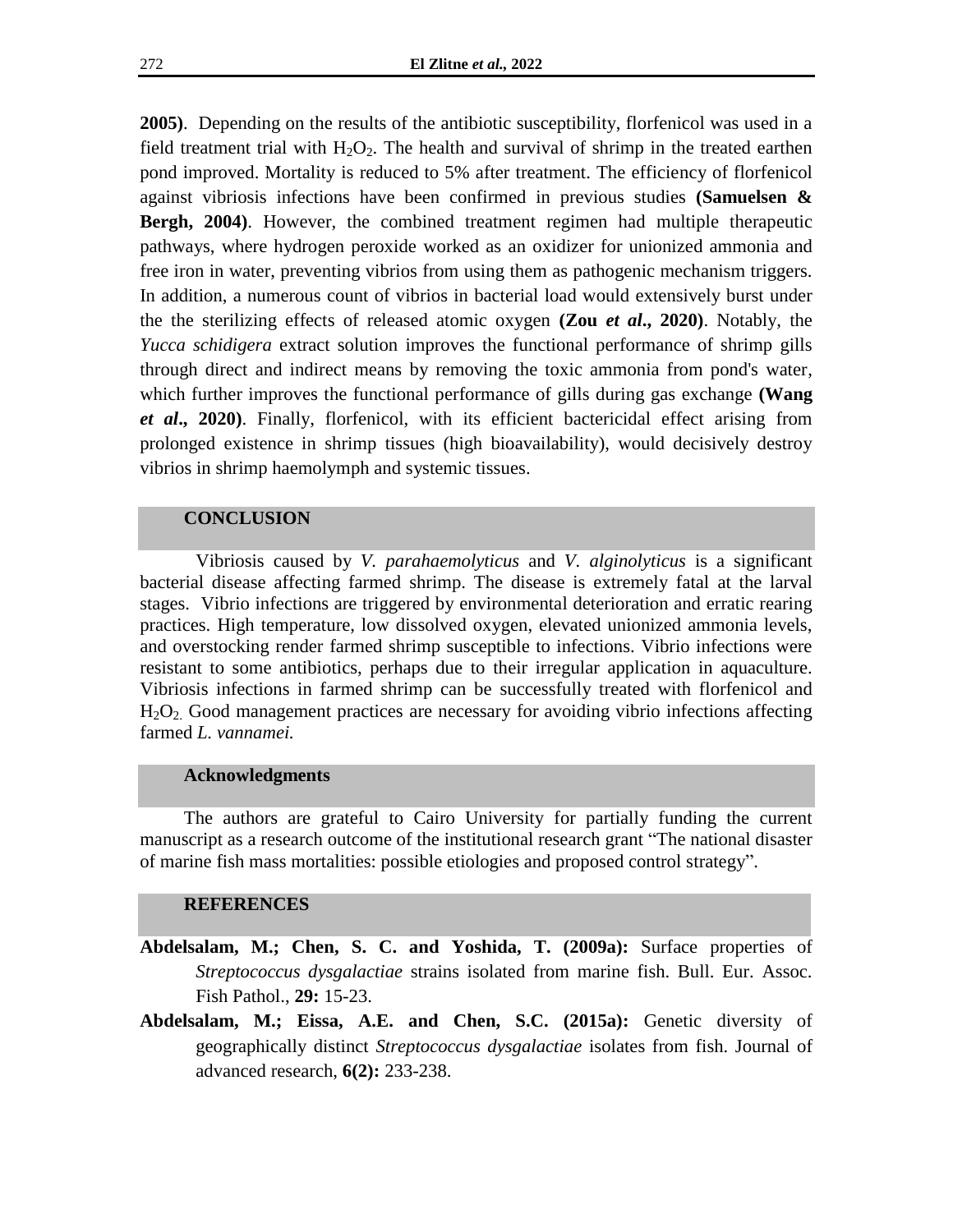**2005)**. Depending on the results of the antibiotic susceptibility, florfenicol was used in a field treatment trial with  $H_2O_2$ . The health and survival of shrimp in the treated earthen pond improved. Mortality is reduced to 5% after treatment. The efficiency of florfenicol against vibriosis infections have been confirmed in previous studies **(Samuelsen & Bergh, 2004)**. However, the combined treatment regimen had multiple therapeutic pathways, where hydrogen peroxide worked as an oxidizer for unionized ammonia and free iron in water, preventing vibrios from using them as pathogenic mechanism triggers. In addition, a numerous count of vibrios in bacterial load would extensively burst under the the sterilizing effects of released atomic oxygen **(Zou** *et al***., 2020)**. Notably, the *Yucca schidigera* extract solution improves the functional performance of shrimp gills through direct and indirect means by removing the toxic ammonia from pond's water, which further improves the functional performance of gills during gas exchange **(Wang**  *et al***., 2020)**. Finally, florfenicol, with its efficient bactericidal effect arising from prolonged existence in shrimp tissues (high bioavailability), would decisively destroy vibrios in shrimp haemolymph and systemic tissues.

# **CONCLUSION**

Vibriosis caused by *V. parahaemolyticus* and *V. alginolyticus* is a significant bacterial disease affecting farmed shrimp. The disease is extremely fatal at the larval stages. Vibrio infections are triggered by environmental deterioration and erratic rearing practices. High temperature, low dissolved oxygen, elevated unionized ammonia levels, and overstocking render farmed shrimp susceptible to infections. Vibrio infections were resistant to some antibiotics, perhaps due to their irregular application in aquaculture. Vibriosis infections in farmed shrimp can be successfully treated with florfenicol and H2O2. Good management practices are necessary for avoiding vibrio infections affecting farmed *L. vannamei.*

#### **Acknowledgments**

The authors are grateful to Cairo University for partially funding the current manuscript as a research outcome of the institutional research grant "The national disaster of marine fish mass mortalities: possible etiologies and proposed control strategy".

#### **REFERENCES**

- **Abdelsalam, M.; Chen, S. C. and Yoshida, T. (2009a):** Surface properties of *Streptococcus dysgalactiae* strains isolated from marine fish. Bull. Eur. Assoc. Fish Pathol., **29:** 15-23.
- **Abdelsalam, M.; Eissa, A.E. and Chen, S.C. (2015a):** Genetic diversity of geographically distinct *Streptococcus dysgalactiae* isolates from fish. Journal of advanced research, **6(2):** 233-238.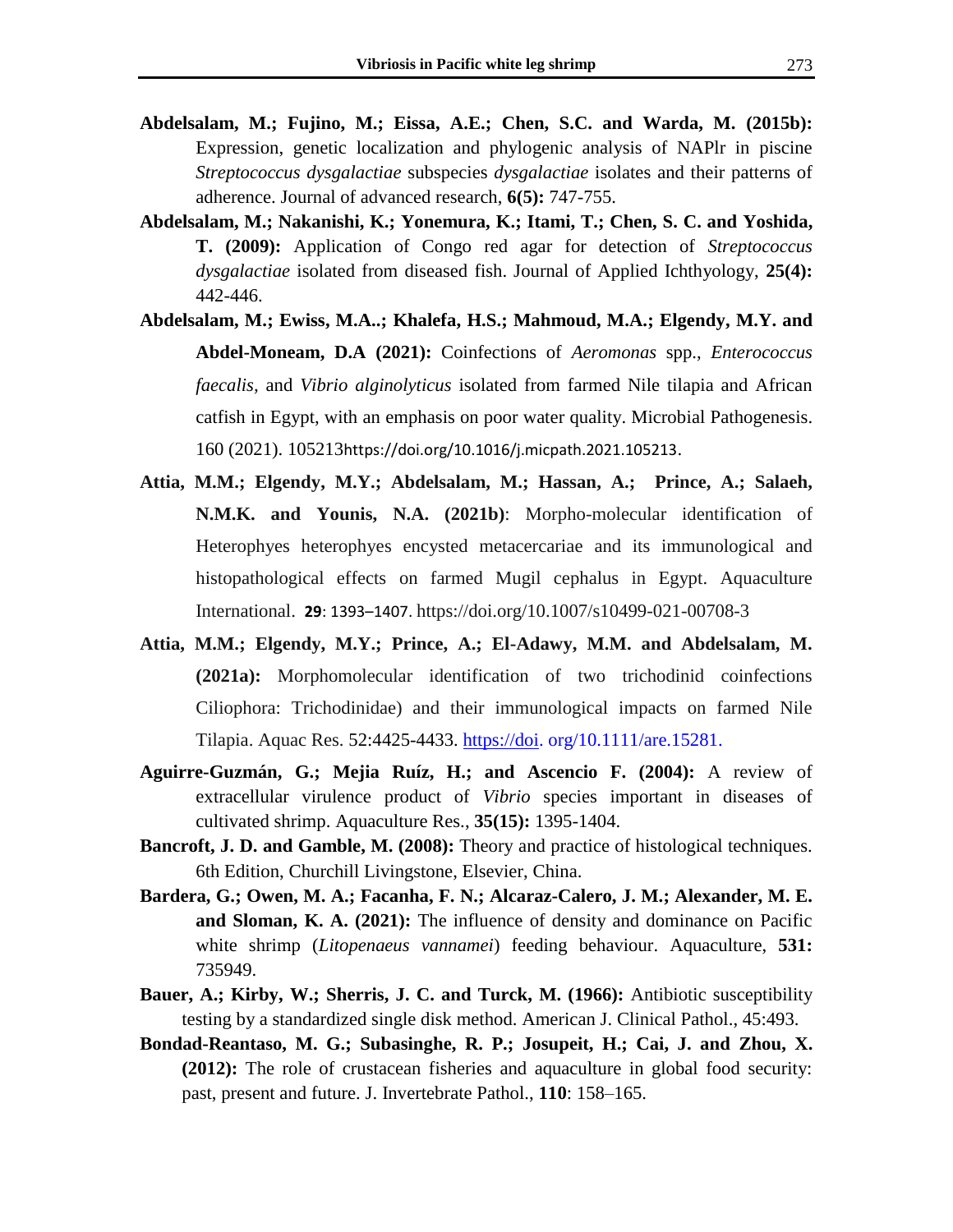- **Abdelsalam, M.; Fujino, M.; Eissa, A.E.; Chen, S.C. and Warda, M. (2015b):** Expression, genetic localization and phylogenic analysis of NAPlr in piscine *Streptococcus dysgalactiae* subspecies *dysgalactiae* isolates and their patterns of adherence. Journal of advanced research, **6(5):** 747-755.
- **Abdelsalam, M.; Nakanishi, K.; Yonemura, K.; Itami, T.; Chen, S. C. and Yoshida, T. (2009):** Application of Congo red agar for detection of *Streptococcus dysgalactiae* isolated from diseased fish. Journal of Applied Ichthyology, **25(4):** 442-446.
- **Abdelsalam, M.; Ewiss, M.A..; Khalefa, H.S.; Mahmoud, M.A.; Elgendy, M.Y. and Abdel-Moneam, D.A (2021):** Coinfections of *Aeromonas* spp., *Enterococcus faecalis,* and *Vibrio alginolyticus* isolated from farmed Nile tilapia and African catfish in Egypt, with an emphasis on poor water quality. Microbial Pathogenesis. 160 (2021). 105213<https://doi.org/10.1016/j.micpath.2021.105213>.
- **Attia, M.M.; Elgendy, M.Y.; Abdelsalam, M.; Hassan, A.; Prince, A.; Salaeh, N.M.K. and Younis, N.A. (2021b)**: Morpho-molecular identification of Heterophyes heterophyes encysted metacercariae and its immunological and histopathological effects on farmed Mugil cephalus in Egypt. Aquaculture International. **29**: 1393–1407. https://doi.org/10.1007/s10499-021-00708-3
- **Attia, M.M.; Elgendy, M.Y.; Prince, A.; El-Adawy, M.M. and Abdelsalam, M. (2021a):** Morphomolecular identification of two trichodinid coinfections Ciliophora: Trichodinidae) and their immunological impacts on farmed Nile Tilapia. Aquac Res. 52:4425-4433. [https://doi.](https://doi/) org/10.1111/are.15281.
- **Aguirre-Guzmán, G.; Mejia Ruíz, H.; and Ascencio F. (2004):** A review of extracellular virulence product of *Vibrio* species important in diseases of cultivated shrimp. Aquaculture Res., **35(15):** 1395-1404.
- **Bancroft, J. D. and Gamble, M. (2008):** Theory and practice of histological techniques. 6th Edition, Churchill Livingstone, Elsevier, China.
- **Bardera, G.; Owen, M. A.; Facanha, F. N.; Alcaraz-Calero, J. M.; Alexander, M. E. and Sloman, K. A. (2021):** The influence of density and dominance on Pacific white shrimp (*Litopenaeus vannamei*) feeding behaviour. Aquaculture, **531:** 735949.
- **Bauer, A.; Kirby, W.; Sherris, J. C. and Turck, M. (1966):** Antibiotic susceptibility testing by a standardized single disk method. American J. Clinical Pathol., 45:493.
- **Bondad-Reantaso, M. G.; Subasinghe, R. P.; Josupeit, H.; Cai, J. and Zhou, X. (2012):** The role of crustacean fisheries and aquaculture in global food security: past, present and future. J. Invertebrate Pathol., **110**: 158–165.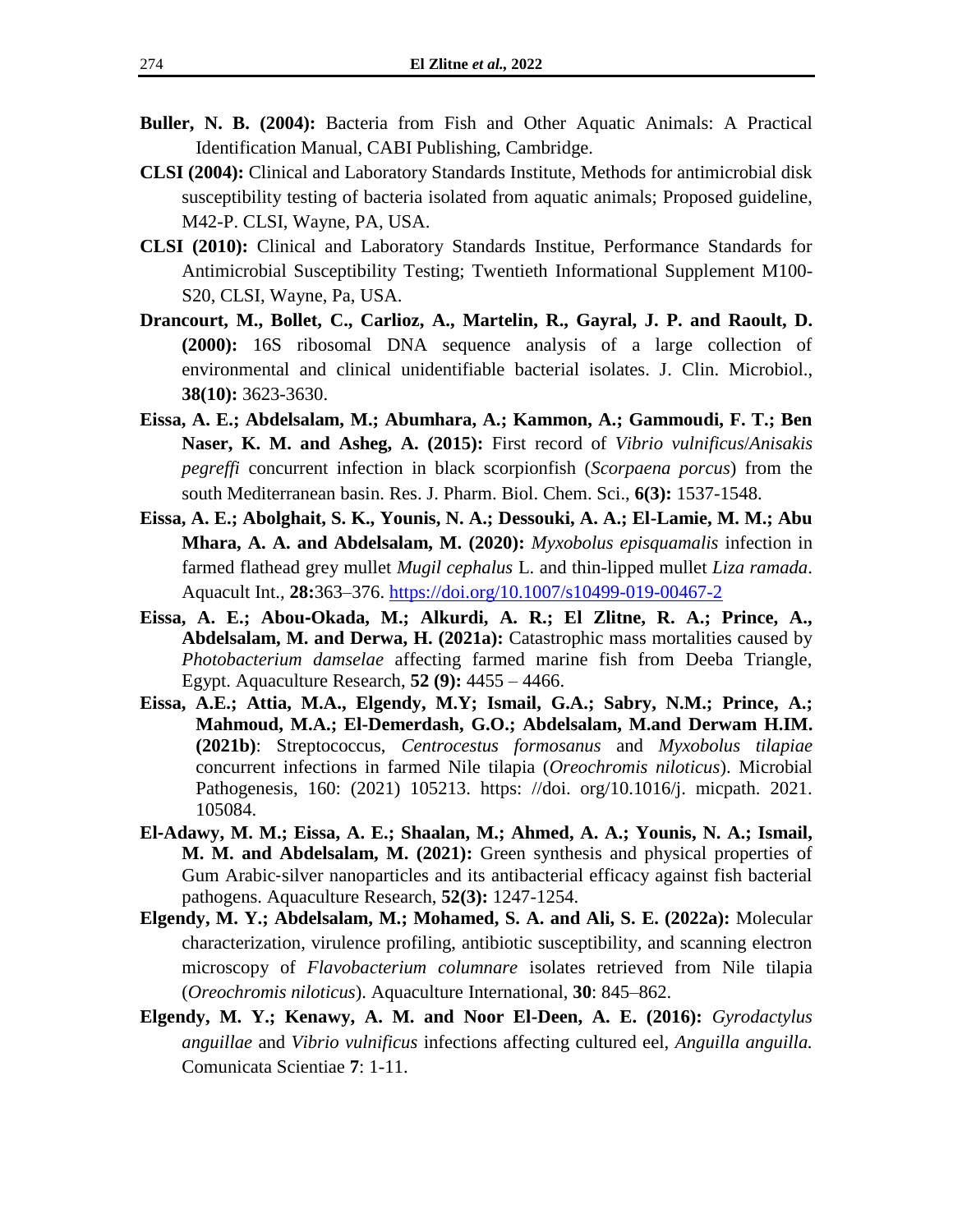- **Buller, N. B. (2004):** Bacteria from Fish and Other Aquatic Animals: A Practical Identification Manual, CABI Publishing, Cambridge.
- **CLSI (2004):** Clinical and Laboratory Standards Institute, Methods for antimicrobial disk susceptibility testing of bacteria isolated from aquatic animals; Proposed guideline, M42-P. CLSI, Wayne, PA, USA.
- **CLSI (2010):** Clinical and Laboratory Standards Institue, Performance Standards for Antimicrobial Susceptibility Testing; Twentieth Informational Supplement M100- S20, CLSI, Wayne, Pa, USA.
- **Drancourt, M., Bollet, C., Carlioz, A., Martelin, R., Gayral, J. P. and Raoult, D. (2000):** 16S ribosomal DNA sequence analysis of a large collection of environmental and clinical unidentifiable bacterial isolates. J. Clin. Microbiol., **38(10):** 3623-3630.
- **Eissa, A. E.; Abdelsalam, M.; Abumhara, A.; Kammon, A.; Gammoudi, F. T.; Ben Naser, K. M. and Asheg, A. (2015):** First record of *Vibrio vulnificus*/*Anisakis pegreffi* concurrent infection in black scorpionfish (*Scorpaena porcus*) from the south Mediterranean basin. Res. J. Pharm. Biol. Chem. Sci., **6(3):** 1537-1548.
- **Eissa, A. E.; Abolghait, S. K., Younis, N. A.; Dessouki, A. A.; El-Lamie, M. M.; Abu Mhara, A. A. and Abdelsalam, M. (2020):** *Myxobolus episquamalis* infection in farmed flathead grey mullet *Mugil cephalus* L. and thin-lipped mullet *Liza ramada*. Aquacult Int., **28:**363–376.<https://doi.org/10.1007/s10499-019-00467-2>
- **Eissa, A. E.; Abou**‐**Okada, M.; Alkurdi, A. R.; El Zlitne, R. A.; Prince, A., Abdelsalam, M. and Derwa, H. (2021a):** Catastrophic mass mortalities caused by *Photobacterium damselae* affecting farmed marine fish from Deeba Triangle, Egypt. Aquaculture Research, **[52](https://www.infona.pl/resource/bwmeta1.element.wiley-are/tab/jContent/facet?field=%5ejournalVolume&value=%5e_00052) [\(9\)](https://www.infona.pl/resource/bwmeta1.element.wiley-are/tab/jContent/facet?field=%5ejournalVolume%5ejournalNumber&value=%5e_00052%5e_00009):** 4455 – 4466.
- **Eissa, A.E.; Attia, M.A., Elgendy, M.Y; Ismail, G.A.; Sabry, N.M.; Prince, A.; Mahmoud, M.A.; El-Demerdash, G.O.; Abdelsalam, M.and Derwam H.IM. (2021b)**: Streptococcus, *Centrocestus formosanus* and *Myxobolus tilapiae*  concurrent infections in farmed Nile tilapia (*Oreochromis niloticus*). Microbial Pathogenesis, 160: (2021) 105213. [https: //doi. org/10.1016/j. micpath. 2021.](https://doi.org/10.1016/j.micpath.2021.105084)  [105084.](https://doi.org/10.1016/j.micpath.2021.105084)
- **El**‐**Adawy, M. M.; Eissa, A. E.; Shaalan, M.; Ahmed, A. A.; Younis, N. A.; Ismail, M. M. and Abdelsalam, M. (2021):** Green synthesis and physical properties of Gum Arabic‐silver nanoparticles and its antibacterial efficacy against fish bacterial pathogens. Aquaculture Research, **52(3):** 1247-1254.
- **Elgendy, M. Y.; Abdelsalam, M.; Mohamed, S. A. and Ali, S. E. (2022a):** Molecular characterization, virulence profiling, antibiotic susceptibility, and scanning electron microscopy of *Flavobacterium columnare* isolates retrieved from Nile tilapia (*Oreochromis niloticus*). Aquaculture International, **30**: 845–862.
- **Elgendy, M. Y.; Kenawy, A. M. and Noor El-Deen, A. E. (2016):** *Gyrodactylus anguillae* and *Vibrio vulnificus* infections affecting cultured eel, *Anguilla anguilla.* Comunicata Scientiae **7**: 1-11.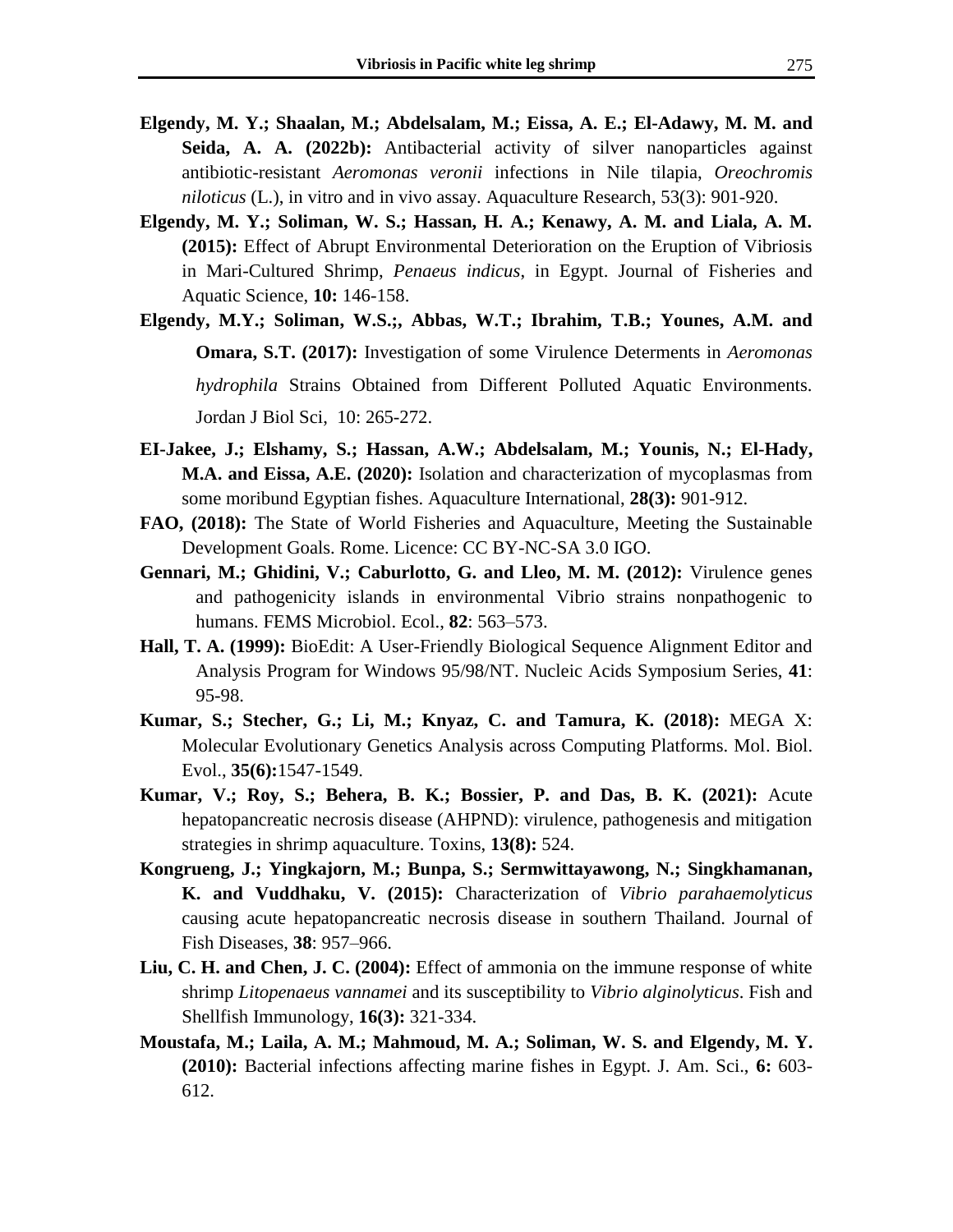- **Elgendy, M. Y.; Shaalan, M.; Abdelsalam, M.; Eissa, A. E.; El-Adawy, M. M. and Seida, A. A. (2022b):** Antibacterial activity of silver nanoparticles against antibiotic-resistant *Aeromonas veronii* infections in Nile tilapia, *Oreochromis niloticus* (L.), in vitro and in vivo assay. Aquaculture Research, 53(3): 901-920.
- **Elgendy, M. Y.; Soliman, W. S.; Hassan, H. A.; Kenawy, A. M. and Liala, A. M. (2015):** Effect of Abrupt Environmental Deterioration on the Eruption of Vibriosis in Mari-Cultured Shrimp, *Penaeus indicus*, in Egypt. Journal of Fisheries and Aquatic Science, **10:** 146-158.
- **Elgendy, M.Y.; Soliman, W.S.;, Abbas, W.T.; Ibrahim, T.B.; Younes, A.M. and Omara, S.T. (2017):** Investigation of some Virulence Determents in *Aeromonas hydrophila* Strains Obtained from Different Polluted Aquatic Environments. Jordan J Biol Sci, 10: 265-272.
- **EI-Jakee, J.; Elshamy, S.; Hassan, A.W.; Abdelsalam, M.; Younis, N.; El-Hady, M.A. and Eissa, A.E. (2020):** Isolation and characterization of mycoplasmas from some moribund Egyptian fishes. Aquaculture International, **28(3):** 901-912.
- **FAO, (2018):** The State of World Fisheries and Aquaculture, Meeting the Sustainable Development Goals. Rome. Licence: CC BY-NC-SA 3.0 IGO.
- **Gennari, M.; Ghidini, V.; Caburlotto, G. and Lleo, M. M. (2012):** Virulence genes and pathogenicity islands in environmental Vibrio strains nonpathogenic to humans. FEMS Microbiol. Ecol., **82**: 563–573.
- **Hall, T. A. (1999):** BioEdit: A User-Friendly Biological Sequence Alignment Editor and Analysis Program for Windows 95/98/NT. Nucleic Acids Symposium Series, **41**: 95-98.
- **Kumar, S.; Stecher, G.; Li, M.; Knyaz, C. and Tamura, K. (2018):** MEGA X: Molecular Evolutionary Genetics Analysis across Computing Platforms. Mol. Biol. Evol., **35(6):**1547-1549.
- **Kumar, V.; Roy, S.; Behera, B. K.; Bossier, P. and Das, B. K. (2021):** Acute hepatopancreatic necrosis disease (AHPND): virulence, pathogenesis and mitigation strategies in shrimp aquaculture. Toxins, **13(8):** 524.
- **Kongrueng, J.; Yingkajorn, M.; Bunpa, S.; Sermwittayawong, N.; Singkhamanan, K. and Vuddhaku, V. (2015):** Characterization of *Vibrio parahaemolyticus* causing acute hepatopancreatic necrosis disease in southern Thailand. Journal of Fish Diseases, **38**: 957–966.
- **Liu, C. H. and Chen, J. C. (2004):** Effect of ammonia on the immune response of white shrimp *Litopenaeus vannamei* and its susceptibility to *Vibrio alginolyticus*. Fish and Shellfish Immunology, **16(3):** 321-334.
- **Moustafa, M.; Laila, A. M.; Mahmoud, M. A.; Soliman, W. S. and Elgendy, M. Y. (2010):** Bacterial infections affecting marine fishes in Egypt. J. Am. Sci., **6:** 603- 612.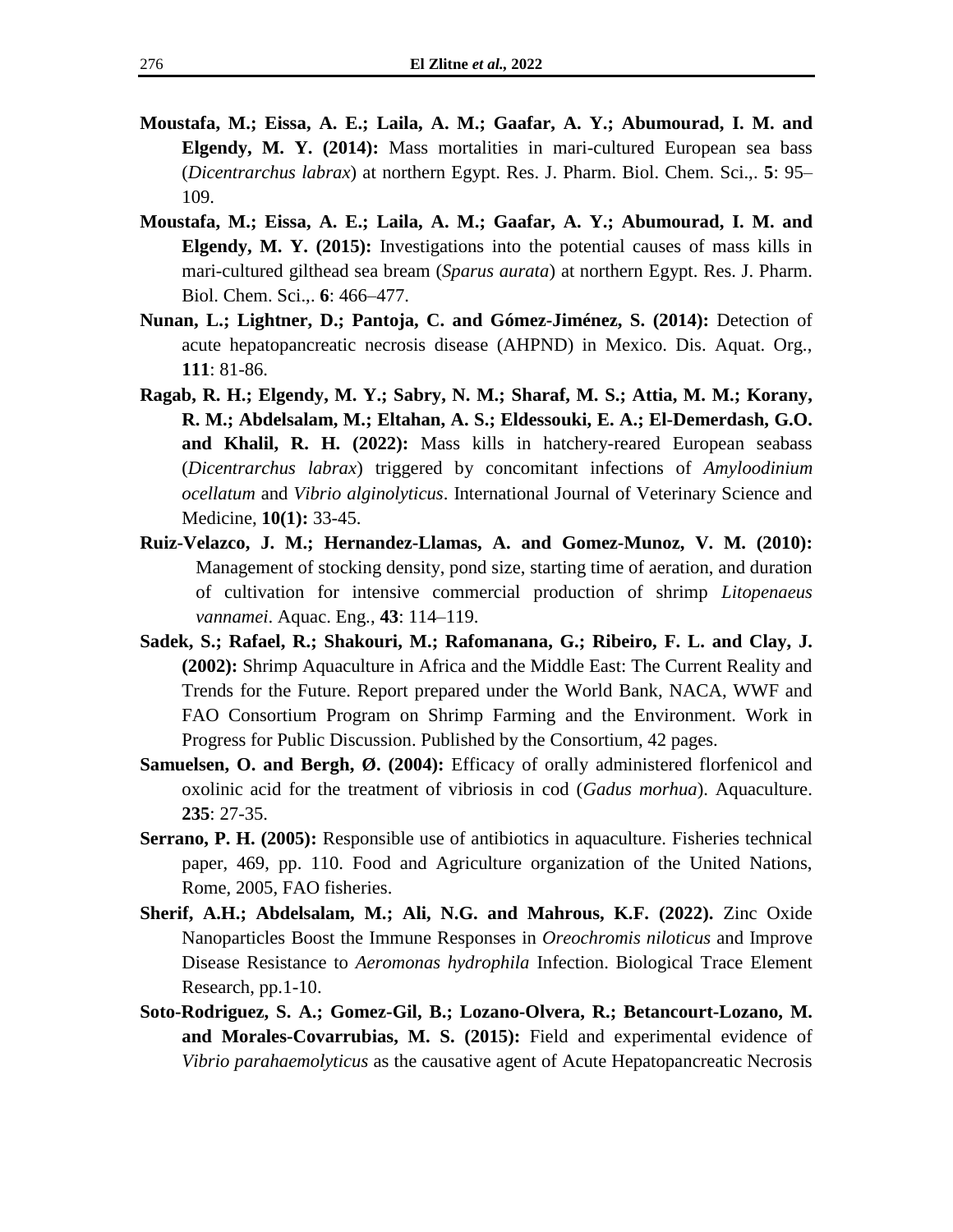- **Moustafa, M.; Eissa, A. E.; Laila, A. M.; Gaafar, A. Y.; Abumourad, I. M. and Elgendy, M. Y. (2014):** Mass mortalities in mari-cultured European sea bass (*Dicentrarchus labrax*) at northern Egypt. Res. J. Pharm. Biol. Chem. Sci.,. **5**: 95– 109.
- **Moustafa, M.; Eissa, A. E.; Laila, A. M.; Gaafar, A. Y.; Abumourad, I. M. and Elgendy, M. Y. (2015):** Investigations into the potential causes of mass kills in mari-cultured gilthead sea bream (*Sparus aurata*) at northern Egypt. Res. J. Pharm. Biol. Chem. Sci.,. **6**: 466–477.
- **Nunan, L.; Lightner, D.; Pantoja, C. and Gómez-Jiménez, S. (2014):** Detection of acute hepatopancreatic necrosis disease (AHPND) in Mexico. Dis. Aquat. Org., **111**: 81-86.
- **Ragab, R. H.; Elgendy, M. Y.; Sabry, N. M.; Sharaf, M. S.; Attia, M. M.; Korany, R. M.; Abdelsalam, M.; Eltahan, A. S.; Eldessouki, E. A.; El-Demerdash, G.O. and Khalil, R. H. (2022):** Mass kills in hatchery-reared European seabass (*Dicentrarchus labrax*) triggered by concomitant infections of *Amyloodinium ocellatum* and *Vibrio alginolyticus*. International Journal of Veterinary Science and Medicine, **10(1):** 33-45.
- **Ruiz-Velazco, J. M.; Hernandez-Llamas, A. and Gomez-Munoz, V. M. (2010):** Management of stocking density, pond size, starting time of aeration, and duration of cultivation for intensive commercial production of shrimp *Litopenaeus vannamei*. Aquac. Eng., **43**: 114–119.
- **Sadek, S.; Rafael, R.; Shakouri, M.; Rafomanana, G.; Ribeiro, F. L. and Clay, J. (2002):** Shrimp Aquaculture in Africa and the Middle East: The Current Reality and Trends for the Future. Report prepared under the World Bank, NACA, WWF and FAO Consortium Program on Shrimp Farming and the Environment. Work in Progress for Public Discussion. Published by the Consortium, 42 pages.
- **Samuelsen, O. and Bergh, Ø. (2004):** Efficacy of orally administered florfenicol and oxolinic acid for the treatment of vibriosis in cod (*Gadus morhua*). Aquaculture. **235**: 27-35.
- **Serrano, P. H. (2005):** Responsible use of antibiotics in aquaculture. Fisheries technical paper, 469, pp. 110. Food and Agriculture organization of the United Nations, Rome, 2005, FAO fisheries.
- **Sherif, A.H.; Abdelsalam, M.; Ali, N.G. and Mahrous, K.F. (2022).** Zinc Oxide Nanoparticles Boost the Immune Responses in *Oreochromis niloticus* and Improve Disease Resistance to *Aeromonas hydrophila* Infection. Biological Trace Element Research, pp.1-10.
- **Soto-Rodriguez, S. A.; Gomez-Gil, B.; Lozano-Olvera, R.; Betancourt-Lozano, M. and Morales-Covarrubias, M. S. (2015):** Field and experimental evidence of *Vibrio parahaemolyticus* as the causative agent of Acute Hepatopancreatic Necrosis